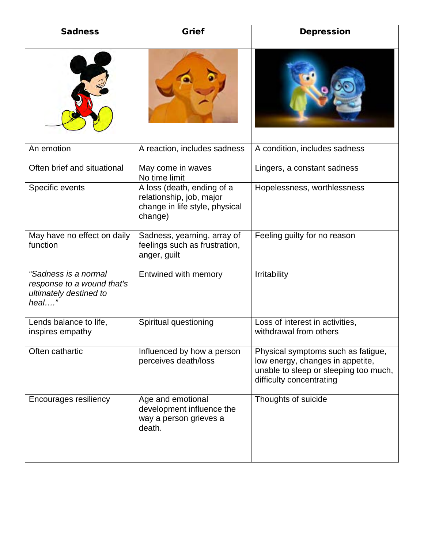| <b>Sadness</b>                                                                        | <b>Grief</b>                                                                                        | <b>Depression</b>                                                                                                                           |
|---------------------------------------------------------------------------------------|-----------------------------------------------------------------------------------------------------|---------------------------------------------------------------------------------------------------------------------------------------------|
|                                                                                       |                                                                                                     |                                                                                                                                             |
| An emotion                                                                            | A reaction, includes sadness                                                                        | A condition, includes sadness                                                                                                               |
| Often brief and situational                                                           | May come in waves<br>No time limit                                                                  | Lingers, a constant sadness                                                                                                                 |
| Specific events                                                                       | A loss (death, ending of a<br>relationship, job, major<br>change in life style, physical<br>change) | Hopelessness, worthlessness                                                                                                                 |
| May have no effect on daily<br>function                                               | Sadness, yearning, array of<br>feelings such as frustration,<br>anger, guilt                        | Feeling guilty for no reason                                                                                                                |
| "Sadness is a normal<br>response to a wound that's<br>ultimately destined to<br>heal" | Entwined with memory                                                                                | Irritability                                                                                                                                |
| Lends balance to life,<br>inspires empathy                                            | Spiritual questioning                                                                               | Loss of interest in activities,<br>withdrawal from others                                                                                   |
| Often cathartic                                                                       | Influenced by how a person<br>perceives death/loss                                                  | Physical symptoms such as fatigue,<br>low energy, changes in appetite,<br>unable to sleep or sleeping too much,<br>difficulty concentrating |
| Encourages resiliency                                                                 | Age and emotional<br>development influence the<br>way a person grieves a<br>death.                  | Thoughts of suicide                                                                                                                         |
|                                                                                       |                                                                                                     |                                                                                                                                             |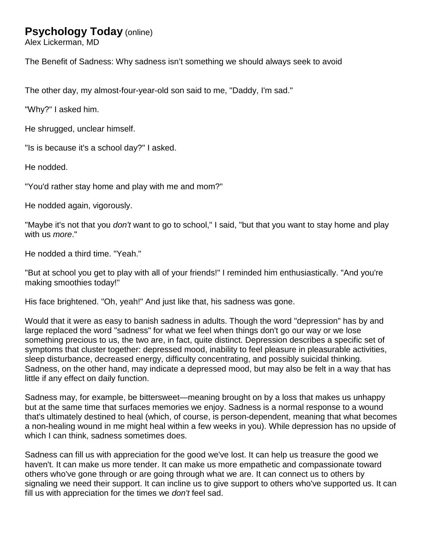# **Psychology Today** (online)

Alex Lickerman, MD

The Benefit of Sadness: Why sadness isn't something we should always seek to avoid

The other day, my almost-four-year-old son said to me, "Daddy, I'm sad."

"Why?" I asked him.

He shrugged, unclear himself.

"Is is because it's a school day?" I asked.

He nodded.

"You'd rather stay home and play with me and mom?"

He nodded again, vigorously.

"Maybe it's not that you *don't* want to go to school," I said, "but that you want to stay home and play with us *more*."

He nodded a third time. "Yeah."

"But at school you get to play with all of your friends!" I reminded him enthusiastically. "And you're making smoothies today!"

His face brightened. "Oh, yeah!" And just like that, his sadness was gone.

Would that it were as easy to banish sadness in adults. Though the word "depression" has by and large replaced the word "sadness" for what we feel when things don't go our way or we lose something precious to us, the two are, in fact, quite distinct. Depression describes a specific set of symptoms that cluster together: depressed mood, inability to feel pleasure in pleasurable activities, sleep disturbance, decreased energy, difficulty concentrating, and possibly suicidal thinking. Sadness, on the other hand, may indicate a depressed mood, but may also be felt in a way that has little if any effect on daily function.

Sadness may, for example, be bittersweet—meaning brought on by a loss that makes us unhappy but at the same time that surfaces memories we enjoy. Sadness is a normal response to a wound that's ultimately destined to heal (which, of course, is person-dependent, meaning that what becomes a non-healing wound in me might heal within a few weeks in you). While depression has no upside of which I can think, sadness sometimes does.

Sadness can fill us with appreciation for the good we've lost. It can help us treasure the good we haven't. It can make us more tender. It can make us more empathetic and compassionate toward others who've gone through or are going through what we are. It can connect us to others by signaling we need their support. It can incline us to give support to others who've supported us. It can fill us with appreciation for the times we *don't* feel sad.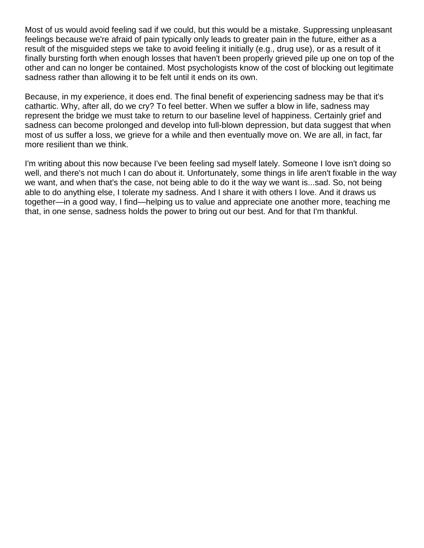Most of us would avoid feeling sad if we could, but this would be a mistake. Suppressing unpleasant feelings because we're afraid of pain typically only leads to greater pain in the future, either as a result of the misguided steps we take to avoid feeling it initially (e.g., drug use), or as a result of it finally bursting forth when enough losses that haven't been properly grieved pile up one on top of the other and can no longer be contained. Most psychologists know of the cost of blocking out legitimate sadness rather than allowing it to be felt until it ends on its own.

Because, in my experience, it does end. The final benefit of experiencing sadness may be that it's cathartic. Why, after all, do we cry? To feel better. When we suffer a blow in life, sadness may represent the bridge we must take to return to our baseline level of happiness. Certainly grief and sadness can become prolonged and develop into full-blown depression, but data suggest that when most of us suffer a loss, we grieve for a while and then eventually move on. We are all, in fact, far more resilient than we think.

I'm writing about this now because I've been feeling sad myself lately. Someone I love isn't doing so well, and there's not much I can do about it. Unfortunately, some things in life aren't fixable in the way we want, and when that's the case, not being able to do it the way we want is...sad. So, not being able to do anything else, I tolerate my sadness. And I share it with others I love. And it draws us together—in a good way, I find—helping us to value and appreciate one another more, teaching me that, in one sense, sadness holds the power to bring out our best. And for that I'm thankful.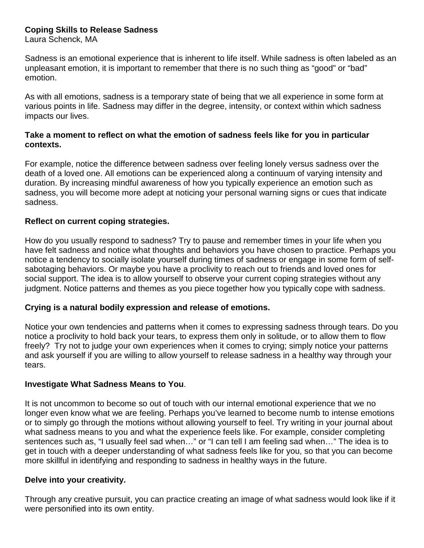# **Coping Skills to Release Sadness**

Laura Schenck, MA

Sadness is an emotional experience that is inherent to life itself. While sadness is often labeled as an unpleasant emotion, it is important to remember that there is no such thing as "good" or "bad" emotion.

As with all emotions, sadness is a temporary state of being that we all experience in some form at various points in life. Sadness may differ in the degree, intensity, or context within which sadness impacts our lives.

## **Take a moment to reflect on what the emotion of sadness feels like for you in particular contexts.**

For example, notice the difference between sadness over feeling lonely versus sadness over the death of a loved one. All emotions can be experienced along a continuum of varying intensity and duration. By increasing mindful awareness of how you typically experience an emotion such as sadness, you will become more adept at noticing your personal warning signs or cues that indicate sadness.

# **Reflect on current coping strategies.**

How do you usually respond to sadness? Try to pause and remember times in your life when you have felt sadness and notice what thoughts and behaviors you have chosen to practice. Perhaps you notice a tendency to socially isolate yourself during times of sadness or engage in some form of selfsabotaging behaviors. Or maybe you have a proclivity to reach out to friends and loved ones for social support. The idea is to allow yourself to observe your current coping strategies without any judgment. Notice patterns and themes as you piece together how you typically cope with sadness.

## **Crying is a natural bodily expression and release of emotions.**

Notice your own tendencies and patterns when it comes to expressing sadness through tears. Do you notice a proclivity to hold back your tears, to express them only in solitude, or to allow them to flow freely? Try not to judge your own experiences when it comes to crying; simply notice your patterns and ask yourself if you are willing to allow yourself to release sadness in a healthy way through your tears.

## **Investigate What Sadness Means to You**.

It is not uncommon to become so out of touch with our internal emotional experience that we no longer even know what we are feeling. Perhaps you've learned to become numb to intense emotions or to simply go through the motions without allowing yourself to feel. Try writing in your journal about what sadness means to you and what the experience feels like. For example, consider completing sentences such as, "I usually feel sad when…" or "I can tell I am feeling sad when…" The idea is to get in touch with a deeper understanding of what sadness feels like for you, so that you can become more skillful in identifying and responding to sadness in healthy ways in the future.

## **Delve into your creativity.**

Through any creative pursuit, you can practice creating an image of what sadness would look like if it were personified into its own entity.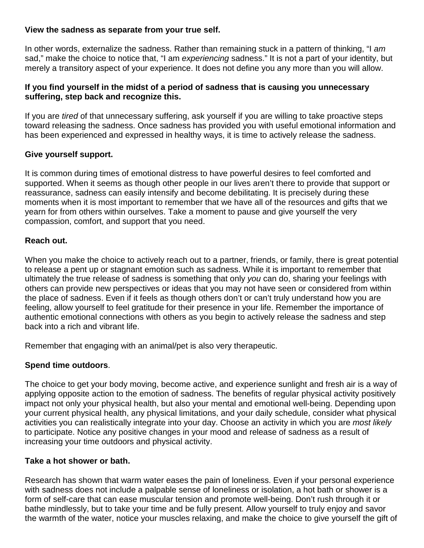# **View the sadness as separate from your true self.**

In other words, externalize the sadness. Rather than remaining stuck in a pattern of thinking, "I *am* sad," make the choice to notice that, "I am *experiencing* sadness." It is not a part of your identity, but merely a transitory aspect of your experience. It does not define you any more than you will allow.

## **If you find yourself in the midst of a period of sadness that is causing you unnecessary suffering, step back and recognize this.**

If you are *tired* of that unnecessary suffering, ask yourself if you are willing to take proactive steps toward releasing the sadness. Once sadness has provided you with useful emotional information and has been experienced and expressed in healthy ways, it is time to actively release the sadness.

# **Give yourself support.**

It is common during times of emotional distress to have powerful desires to feel comforted and supported. When it seems as though other people in our lives aren't there to provide that support or reassurance, sadness can easily intensify and become debilitating. It is precisely during these moments when it is most important to remember that we have all of the resources and gifts that we yearn for from others within ourselves. Take a moment to pause and give yourself the very compassion, comfort, and support that you need.

## **Reach out.**

When you make the choice to actively reach out to a partner, friends, or family, there is great potential to release a pent up or stagnant emotion such as sadness. While it is important to remember that ultimately the true release of sadness is something that only *you* can do, sharing your feelings with others can provide new perspectives or ideas that you may not have seen or considered from within the place of sadness. Even if it feels as though others don't or can't truly understand how you are feeling, allow yourself to feel gratitude for their presence in your life. Remember the importance of authentic emotional connections with others as you begin to actively release the sadness and step back into a rich and vibrant life.

Remember that engaging with an animal/pet is also very therapeutic.

# **Spend time outdoors**.

The choice to get your body moving, become active, and experience sunlight and fresh air is a way of applying opposite action to the emotion of sadness. The benefits of regular physical activity positively impact not only your physical health, but also your mental and emotional well-being. Depending upon your current physical health, any physical limitations, and your daily schedule, consider what physical activities you can realistically integrate into your day. Choose an activity in which you are *most likely* to participate. Notice any positive changes in your mood and release of sadness as a result of increasing your time outdoors and physical activity.

## **Take a hot shower or bath.**

Research has shown that warm water eases the pain of loneliness. Even if your personal experience with sadness does not include a palpable sense of loneliness or isolation, a hot bath or shower is a form of self-care that can ease muscular tension and promote well-being. Don't rush through it or bathe mindlessly, but to take your time and be fully present. Allow yourself to truly enjoy and savor the warmth of the water, notice your muscles relaxing, and make the choice to give yourself the gift of